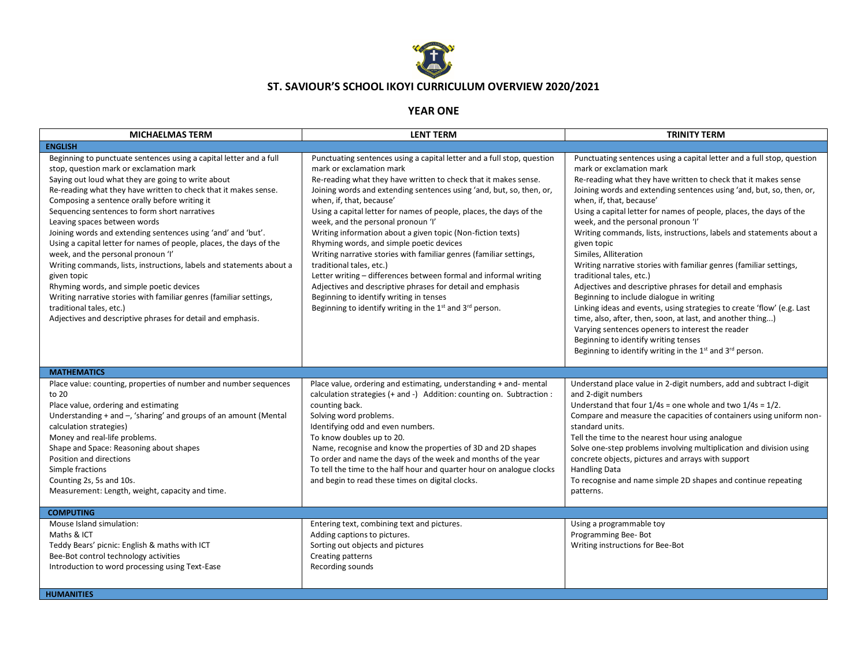

## **ST. SAVIOUR'S SCHOOL IKOYI CURRICULUM OVERVIEW 2020/2021**

## **YEAR ONE**

| <b>MICHAELMAS TERM</b>                                                                                                                                                                                                                                                                                                                                                                                                                                                                                                                                                                                                                                                                                                                                                                                                                                    | <b>LENT TERM</b>                                                                                                                                                                                                                                                                                                                                                                                                                                                                                                                                                                                                                                                                                                                                                                                                                                       | <b>TRINITY TERM</b>                                                                                                                                                                                                                                                                                                                                                                                                                                                                                                                                                                                                                                                                                                                                                                                                                                                                                                                                                                                                                       |
|-----------------------------------------------------------------------------------------------------------------------------------------------------------------------------------------------------------------------------------------------------------------------------------------------------------------------------------------------------------------------------------------------------------------------------------------------------------------------------------------------------------------------------------------------------------------------------------------------------------------------------------------------------------------------------------------------------------------------------------------------------------------------------------------------------------------------------------------------------------|--------------------------------------------------------------------------------------------------------------------------------------------------------------------------------------------------------------------------------------------------------------------------------------------------------------------------------------------------------------------------------------------------------------------------------------------------------------------------------------------------------------------------------------------------------------------------------------------------------------------------------------------------------------------------------------------------------------------------------------------------------------------------------------------------------------------------------------------------------|-------------------------------------------------------------------------------------------------------------------------------------------------------------------------------------------------------------------------------------------------------------------------------------------------------------------------------------------------------------------------------------------------------------------------------------------------------------------------------------------------------------------------------------------------------------------------------------------------------------------------------------------------------------------------------------------------------------------------------------------------------------------------------------------------------------------------------------------------------------------------------------------------------------------------------------------------------------------------------------------------------------------------------------------|
| <b>ENGLISH</b>                                                                                                                                                                                                                                                                                                                                                                                                                                                                                                                                                                                                                                                                                                                                                                                                                                            |                                                                                                                                                                                                                                                                                                                                                                                                                                                                                                                                                                                                                                                                                                                                                                                                                                                        |                                                                                                                                                                                                                                                                                                                                                                                                                                                                                                                                                                                                                                                                                                                                                                                                                                                                                                                                                                                                                                           |
| Beginning to punctuate sentences using a capital letter and a full<br>stop, question mark or exclamation mark<br>Saying out loud what they are going to write about<br>Re-reading what they have written to check that it makes sense.<br>Composing a sentence orally before writing it<br>Sequencing sentences to form short narratives<br>Leaving spaces between words<br>Joining words and extending sentences using 'and' and 'but'.<br>Using a capital letter for names of people, places, the days of the<br>week, and the personal pronoun 'I'<br>Writing commands, lists, instructions, labels and statements about a<br>given topic<br>Rhyming words, and simple poetic devices<br>Writing narrative stories with familiar genres (familiar settings,<br>traditional tales, etc.)<br>Adjectives and descriptive phrases for detail and emphasis. | Punctuating sentences using a capital letter and a full stop, question<br>mark or exclamation mark<br>Re-reading what they have written to check that it makes sense.<br>Joining words and extending sentences using 'and, but, so, then, or,<br>when, if, that, because'<br>Using a capital letter for names of people, places, the days of the<br>week, and the personal pronoun 'I'<br>Writing information about a given topic (Non-fiction texts)<br>Rhyming words, and simple poetic devices<br>Writing narrative stories with familiar genres (familiar settings,<br>traditional tales, etc.)<br>Letter writing - differences between formal and informal writing<br>Adjectives and descriptive phrases for detail and emphasis<br>Beginning to identify writing in tenses<br>Beginning to identify writing in the $1^{st}$ and $3^{rd}$ person. | Punctuating sentences using a capital letter and a full stop, question<br>mark or exclamation mark<br>Re-reading what they have written to check that it makes sense<br>Joining words and extending sentences using 'and, but, so, then, or,<br>when, if, that, because'<br>Using a capital letter for names of people, places, the days of the<br>week, and the personal pronoun 'I'<br>Writing commands, lists, instructions, labels and statements about a<br>given topic<br>Similes, Alliteration<br>Writing narrative stories with familiar genres (familiar settings,<br>traditional tales, etc.)<br>Adjectives and descriptive phrases for detail and emphasis<br>Beginning to include dialogue in writing<br>Linking ideas and events, using strategies to create 'flow' (e.g. Last<br>time, also, after, then, soon, at last, and another thing)<br>Varying sentences openers to interest the reader<br>Beginning to identify writing tenses<br>Beginning to identify writing in the 1 <sup>st</sup> and 3 <sup>rd</sup> person. |
| <b>MATHEMATICS</b>                                                                                                                                                                                                                                                                                                                                                                                                                                                                                                                                                                                                                                                                                                                                                                                                                                        |                                                                                                                                                                                                                                                                                                                                                                                                                                                                                                                                                                                                                                                                                                                                                                                                                                                        |                                                                                                                                                                                                                                                                                                                                                                                                                                                                                                                                                                                                                                                                                                                                                                                                                                                                                                                                                                                                                                           |
| Place value: counting, properties of number and number sequences<br>to 20<br>Place value, ordering and estimating<br>Understanding + and -, 'sharing' and groups of an amount (Mental<br>calculation strategies)<br>Money and real-life problems.<br>Shape and Space: Reasoning about shapes<br>Position and directions<br>Simple fractions<br>Counting 2s, 5s and 10s.<br>Measurement: Length, weight, capacity and time.                                                                                                                                                                                                                                                                                                                                                                                                                                | Place value, ordering and estimating, understanding + and- mental<br>calculation strategies (+ and -) Addition: counting on. Subtraction :<br>counting back.<br>Solving word problems.<br>Identifying odd and even numbers.<br>To know doubles up to 20.<br>Name, recognise and know the properties of 3D and 2D shapes<br>To order and name the days of the week and months of the year<br>To tell the time to the half hour and quarter hour on analogue clocks<br>and begin to read these times on digital clocks.                                                                                                                                                                                                                                                                                                                                  | Understand place value in 2-digit numbers, add and subtract I-digit<br>and 2-digit numbers<br>Understand that four $1/4s$ = one whole and two $1/4s = 1/2$ .<br>Compare and measure the capacities of containers using uniform non-<br>standard units.<br>Tell the time to the nearest hour using analogue<br>Solve one-step problems involving multiplication and division using<br>concrete objects, pictures and arrays with support<br><b>Handling Data</b><br>To recognise and name simple 2D shapes and continue repeating<br>patterns.                                                                                                                                                                                                                                                                                                                                                                                                                                                                                             |
| <b>COMPUTING</b>                                                                                                                                                                                                                                                                                                                                                                                                                                                                                                                                                                                                                                                                                                                                                                                                                                          |                                                                                                                                                                                                                                                                                                                                                                                                                                                                                                                                                                                                                                                                                                                                                                                                                                                        |                                                                                                                                                                                                                                                                                                                                                                                                                                                                                                                                                                                                                                                                                                                                                                                                                                                                                                                                                                                                                                           |
| Mouse Island simulation:<br>Maths & ICT<br>Teddy Bears' picnic: English & maths with ICT<br>Bee-Bot control technology activities<br>Introduction to word processing using Text-Ease                                                                                                                                                                                                                                                                                                                                                                                                                                                                                                                                                                                                                                                                      | Entering text, combining text and pictures.<br>Adding captions to pictures.<br>Sorting out objects and pictures<br>Creating patterns<br>Recording sounds                                                                                                                                                                                                                                                                                                                                                                                                                                                                                                                                                                                                                                                                                               | Using a programmable toy<br>Programming Bee-Bot<br>Writing instructions for Bee-Bot                                                                                                                                                                                                                                                                                                                                                                                                                                                                                                                                                                                                                                                                                                                                                                                                                                                                                                                                                       |
| <b>HUMANITIES</b>                                                                                                                                                                                                                                                                                                                                                                                                                                                                                                                                                                                                                                                                                                                                                                                                                                         |                                                                                                                                                                                                                                                                                                                                                                                                                                                                                                                                                                                                                                                                                                                                                                                                                                                        |                                                                                                                                                                                                                                                                                                                                                                                                                                                                                                                                                                                                                                                                                                                                                                                                                                                                                                                                                                                                                                           |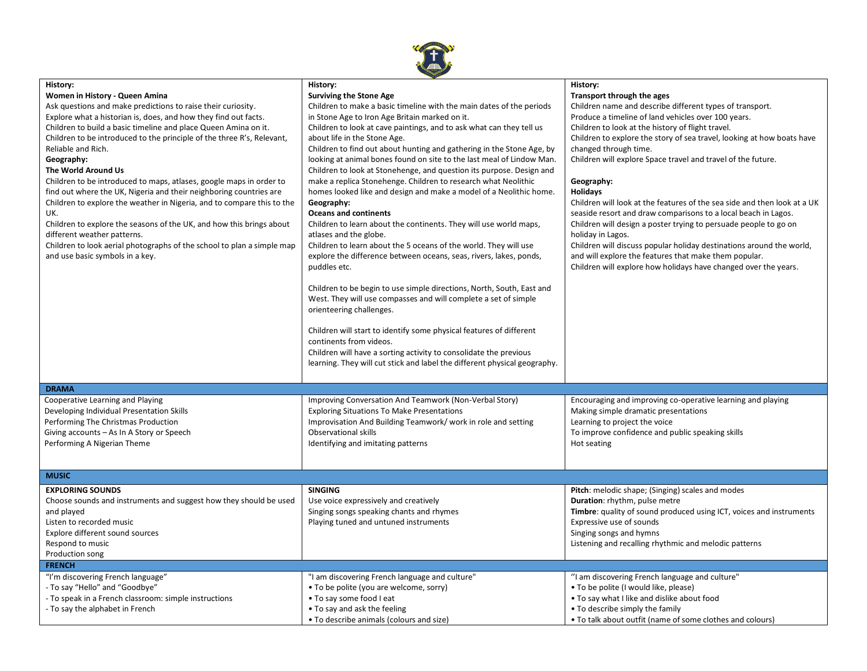

| History:                                                               | History:                                                                  | History:                                                                                     |
|------------------------------------------------------------------------|---------------------------------------------------------------------------|----------------------------------------------------------------------------------------------|
| Women in History - Queen Amina                                         | <b>Surviving the Stone Age</b>                                            | Transport through the ages                                                                   |
| Ask questions and make predictions to raise their curiosity.           | Children to make a basic timeline with the main dates of the periods      | Children name and describe different types of transport.                                     |
| Explore what a historian is, does, and how they find out facts.        | in Stone Age to Iron Age Britain marked on it.                            | Produce a timeline of land vehicles over 100 years.                                          |
| Children to build a basic timeline and place Queen Amina on it.        | Children to look at cave paintings, and to ask what can they tell us      | Children to look at the history of flight travel.                                            |
| Children to be introduced to the principle of the three R's, Relevant, | about life in the Stone Age.                                              | Children to explore the story of sea travel, looking at how boats have                       |
| Reliable and Rich.                                                     | Children to find out about hunting and gathering in the Stone Age, by     | changed through time.                                                                        |
| Geography:                                                             | looking at animal bones found on site to the last meal of Lindow Man.     | Children will explore Space travel and travel of the future.                                 |
| The World Around Us                                                    | Children to look at Stonehenge, and question its purpose. Design and      |                                                                                              |
| Children to be introduced to maps, atlases, google maps in order to    | make a replica Stonehenge. Children to research what Neolithic            | Geography:                                                                                   |
| find out where the UK, Nigeria and their neighboring countries are     | homes looked like and design and make a model of a Neolithic home.        | <b>Holidays</b>                                                                              |
| Children to explore the weather in Nigeria, and to compare this to the | Geography:                                                                | Children will look at the features of the sea side and then look at a UK                     |
| UK.                                                                    | <b>Oceans and continents</b>                                              | seaside resort and draw comparisons to a local beach in Lagos.                               |
| Children to explore the seasons of the UK, and how this brings about   | Children to learn about the continents. They will use world maps,         | Children will design a poster trying to persuade people to go on                             |
| different weather patterns.                                            | atlases and the globe.                                                    | holiday in Lagos.                                                                            |
| Children to look aerial photographs of the school to plan a simple map | Children to learn about the 5 oceans of the world. They will use          | Children will discuss popular holiday destinations around the world,                         |
| and use basic symbols in a key.                                        | explore the difference between oceans, seas, rivers, lakes, ponds,        | and will explore the features that make them popular.                                        |
|                                                                        | puddles etc.                                                              | Children will explore how holidays have changed over the years.                              |
|                                                                        |                                                                           |                                                                                              |
|                                                                        | Children to be begin to use simple directions, North, South, East and     |                                                                                              |
|                                                                        | West. They will use compasses and will complete a set of simple           |                                                                                              |
|                                                                        | orienteering challenges.                                                  |                                                                                              |
|                                                                        |                                                                           |                                                                                              |
|                                                                        | Children will start to identify some physical features of different       |                                                                                              |
|                                                                        | continents from videos.                                                   |                                                                                              |
|                                                                        | Children will have a sorting activity to consolidate the previous         |                                                                                              |
|                                                                        | learning. They will cut stick and label the different physical geography. |                                                                                              |
|                                                                        |                                                                           |                                                                                              |
| <b>DRAMA</b>                                                           |                                                                           |                                                                                              |
| Cooperative Learning and Playing                                       | Improving Conversation And Teamwork (Non-Verbal Story)                    | Encouraging and improving co-operative learning and playing                                  |
|                                                                        |                                                                           |                                                                                              |
| Developing Individual Presentation Skills                              | <b>Exploring Situations To Make Presentations</b>                         | Making simple dramatic presentations                                                         |
| Performing The Christmas Production                                    | Improvisation And Building Teamwork/work in role and setting              | Learning to project the voice                                                                |
| Giving accounts - As In A Story or Speech                              | <b>Observational skills</b>                                               | To improve confidence and public speaking skills                                             |
| Performing A Nigerian Theme                                            | Identifying and imitating patterns                                        | Hot seating                                                                                  |
|                                                                        |                                                                           |                                                                                              |
| <b>MUSIC</b>                                                           |                                                                           |                                                                                              |
|                                                                        |                                                                           |                                                                                              |
| <b>EXPLORING SOUNDS</b>                                                | <b>SINGING</b>                                                            | Pitch: melodic shape; (Singing) scales and modes                                             |
| Choose sounds and instruments and suggest how they should be used      | Use voice expressively and creatively                                     | Duration: rhythm, pulse metre                                                                |
| and played                                                             | Singing songs speaking chants and rhymes                                  | Timbre: quality of sound produced using ICT, voices and instruments                          |
| Listen to recorded music                                               | Playing tuned and untuned instruments                                     | Expressive use of sounds                                                                     |
| Explore different sound sources                                        |                                                                           | Singing songs and hymns                                                                      |
| Respond to music                                                       |                                                                           | Listening and recalling rhythmic and melodic patterns                                        |
| Production song                                                        |                                                                           |                                                                                              |
| <b>FRENCH</b>                                                          |                                                                           |                                                                                              |
|                                                                        |                                                                           |                                                                                              |
| "I'm discovering French language"                                      | "I am discovering French language and culture"                            | "I am discovering French language and culture"                                               |
| - To say "Hello" and "Goodbye"                                         | • To be polite (you are welcome, sorry)                                   | • To be polite (I would like, please)                                                        |
| - To speak in a French classroom: simple instructions                  | • To say some food I eat                                                  | • To say what I like and dislike about food                                                  |
| - To say the alphabet in French                                        | • To say and ask the feeling<br>• To describe animals (colours and size)  | • To describe simply the family<br>• To talk about outfit (name of some clothes and colours) |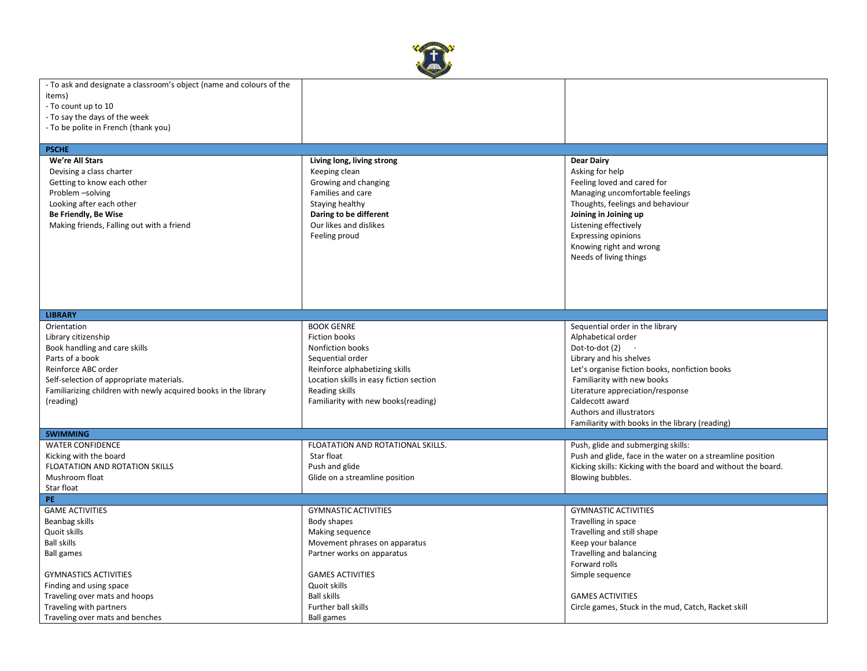

| - To ask and designate a classroom's object (name and colours of the |                                         |                                                               |
|----------------------------------------------------------------------|-----------------------------------------|---------------------------------------------------------------|
| items)                                                               |                                         |                                                               |
| - To count up to 10                                                  |                                         |                                                               |
| - To say the days of the week                                        |                                         |                                                               |
| - To be polite in French (thank you)                                 |                                         |                                                               |
|                                                                      |                                         |                                                               |
| <b>PSCHE</b>                                                         |                                         |                                                               |
| We're All Stars                                                      | Living long, living strong              | <b>Dear Dairy</b>                                             |
| Devising a class charter                                             | Keeping clean                           | Asking for help                                               |
| Getting to know each other                                           | Growing and changing                    | Feeling loved and cared for                                   |
| Problem -solving                                                     | Families and care                       | Managing uncomfortable feelings                               |
|                                                                      |                                         |                                                               |
| Looking after each other                                             | Staying healthy                         | Thoughts, feelings and behaviour                              |
| Be Friendly, Be Wise                                                 | Daring to be different                  | Joining in Joining up                                         |
| Making friends, Falling out with a friend                            | Our likes and dislikes                  | Listening effectively                                         |
|                                                                      | Feeling proud                           | <b>Expressing opinions</b>                                    |
|                                                                      |                                         | Knowing right and wrong                                       |
|                                                                      |                                         | Needs of living things                                        |
|                                                                      |                                         |                                                               |
|                                                                      |                                         |                                                               |
|                                                                      |                                         |                                                               |
|                                                                      |                                         |                                                               |
| <b>LIBRARY</b>                                                       |                                         |                                                               |
| Orientation                                                          | <b>BOOK GENRE</b>                       | Sequential order in the library                               |
| Library citizenship                                                  | Fiction books                           | Alphabetical order                                            |
|                                                                      |                                         |                                                               |
| Book handling and care skills                                        | Nonfiction books                        | Dot-to-dot (2)                                                |
| Parts of a book                                                      | Sequential order                        | Library and his shelves                                       |
| Reinforce ABC order                                                  | Reinforce alphabetizing skills          | Let's organise fiction books, nonfiction books                |
| Self-selection of appropriate materials.                             | Location skills in easy fiction section | Familiarity with new books                                    |
| Familiarizing children with newly acquired books in the library      | Reading skills                          | Literature appreciation/response                              |
| (reading)                                                            | Familiarity with new books(reading)     | Caldecott award                                               |
|                                                                      |                                         | Authors and illustrators                                      |
|                                                                      |                                         | Familiarity with books in the library (reading)               |
| <b>SWIMMING</b>                                                      |                                         |                                                               |
| <b>WATER CONFIDENCE</b>                                              | FLOATATION AND ROTATIONAL SKILLS.       | Push, glide and submerging skills:                            |
| Kicking with the board                                               | Star float                              | Push and glide, face in the water on a streamline position    |
| FLOATATION AND ROTATION SKILLS                                       | Push and glide                          | Kicking skills: Kicking with the board and without the board. |
| Mushroom float                                                       | Glide on a streamline position          | Blowing bubbles.                                              |
| Star float                                                           |                                         |                                                               |
| PE.                                                                  |                                         |                                                               |
| <b>GAME ACTIVITIES</b>                                               | <b>GYMNASTIC ACTIVITIES</b>             | <b>GYMNASTIC ACTIVITIES</b>                                   |
| Beanbag skills                                                       | Body shapes                             | Travelling in space                                           |
| Quoit skills                                                         | Making sequence                         | Travelling and still shape                                    |
| <b>Ball skills</b>                                                   | Movement phrases on apparatus           | Keep your balance                                             |
| <b>Ball games</b>                                                    | Partner works on apparatus              | Travelling and balancing                                      |
|                                                                      |                                         | Forward rolls                                                 |
| <b>GYMNASTICS ACTIVITIES</b>                                         | <b>GAMES ACTIVITIES</b>                 | Simple sequence                                               |
| Finding and using space                                              | Quoit skills                            |                                                               |
| Traveling over mats and hoops                                        | <b>Ball skills</b>                      | <b>GAMES ACTIVITIES</b>                                       |
| Traveling with partners                                              | Further ball skills                     | Circle games, Stuck in the mud, Catch, Racket skill           |
| Traveling over mats and benches                                      | <b>Ball games</b>                       |                                                               |
|                                                                      |                                         |                                                               |